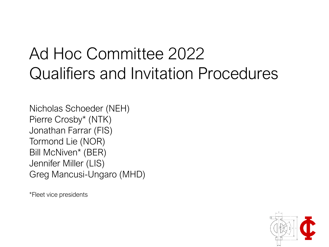#### Ad Hoc Committee 2022 Qualifiers and Invitation Procedures

Nicholas Schoeder (NEH) Pierre Crosby\* (NTK) Jonathan Farrar (FIS) Tormond Lie (NOR) Bill McNiven\* (BER) Jennifer Miller (LIS) Greg Mancusi-Ungaro (MHD)

\*Fleet vice presidents

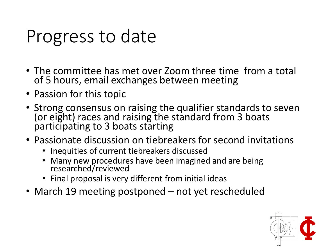## Progress to date

- The committee has met over Zoom three time from a total of 5 hours, email exchanges between meeting
- Passion for this topic
- Strong consensus on raising the qualifier standards to seven (or eight) races and raising the standard from 3 boats participating to 3 boats starting
- Passionate discussion on tiebreakers for second invitations
	- Inequities of current tiebreakers discussed
	- Many new procedures have been imagined and are being researched/reviewed
	- Final proposal is very different from initial ideas
- March 19 meeting postponed not yet rescheduled

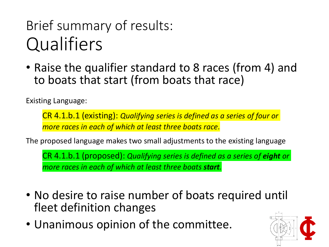#### Brief summary of results: **Qualifiers**

• Raise the qualifier standard to 8 races (from 4) and to boats that start (from boats that race)

Existing Language:

CR 4.1.b.1 (existing): *Qualifying series is defined as a series of four or more races in each of which at least three boats race.*

The proposed language makes two small adjustments to the existing language

CR 4.1.b.1 (proposed): *Qualifying series is defined as a series of eight or more races in each of which at least three boats start.*

- No desire to raise number of boats required until fleet definition changes
- Unanimous opinion of the committee.

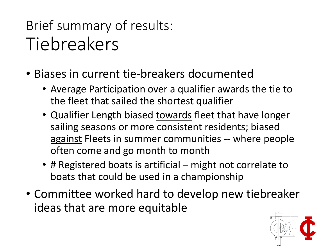#### Brief summary of results: Tiebreakers

- Biases in current tie-breakers documented
	- Average Participation over a qualifier awards the tie to the fleet that sailed the shortest qualifier
	- Qualifier Length biased towards fleet that have longer sailing seasons or more consistent residents; biased against Fleets in summer communities -- where people often come and go month to month
	- # Registered boats is artificial might not correlate to boats that could be used in a championship
- Committee worked hard to develop new tiebreaker ideas that are more equitable

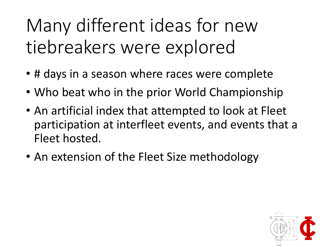## Many different ideas for new tiebreakers were explored

- # days in a season where races were complete
- Who beat who in the prior World Championship
- An artificial index that attempted to look at Fleet participation at interfleet events, and events that a Fleet hosted.
- An extension of the Fleet Size methodology

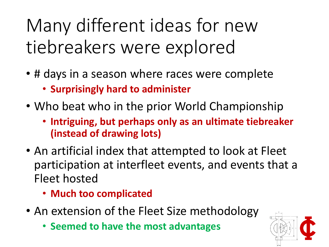## Many different ideas for new tiebreakers were explored

- # days in a season where races were complete
	- **Surprisingly hard to administer**
- Who beat who in the prior World Championship
	- **Intriguing, but perhaps only as an ultimate tiebreaker (instead of drawing lots)**
- An artificial index that attempted to look at Fleet participation at interfleet events, and events that a Fleet hosted
	- **Much too complicated**
- An extension of the Fleet Size methodology
	- **Seemed to have the most advantages**

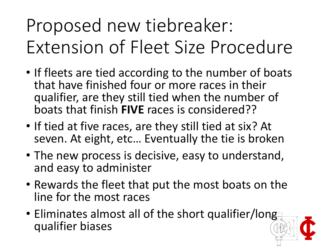# Proposed new tiebreaker: Extension of Fleet Size Procedure

- If fleets are tied according to the number of boats that have finished four or more races in their qualifier, are they still tied when the number of boats that finish **FIVE** races is considered??
- If tied at five races, are they still tied at six? At seven. At eight, etc… Eventually the tie is broken
- The new process is decisive, easy to understand, and easy to administer
- Rewards the fleet that put the most boats on the line for the most races
- Eliminates almost all of the short qualifier/long qualifier biases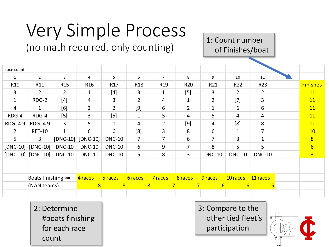# Very Simple Process

(no math required, only counting)

1: Count number of Finishes/boat

|                 |                       |                 |                 | $\sim$ $\sim$ $\sim$ $\sim$<br>$\mathbf{I}$<br>ັບ |                 |                 |                 |                  | <b>ULLITIOTICS/ NUUL</b> |                |  |                 |
|-----------------|-----------------------|-----------------|-----------------|---------------------------------------------------|-----------------|-----------------|-----------------|------------------|--------------------------|----------------|--|-----------------|
|                 |                       |                 |                 |                                                   |                 |                 |                 |                  |                          |                |  |                 |
| race count      |                       |                 |                 |                                                   |                 |                 |                 |                  |                          |                |  |                 |
| $\mathbf{1}$    | $\overline{2}$        | 3               | 4               | 5                                                 | 6               | $\overline{7}$  | 8               | 9                | 10                       | 11             |  |                 |
| R <sub>10</sub> | R11                   | R <sub>15</sub> | R <sub>16</sub> | R17                                               | R <sub>18</sub> | R <sub>19</sub> | R <sub>20</sub> | R21              | R <sub>22</sub>          | R23            |  | <b>Finishes</b> |
| 3               | $\overline{2}$        | $\overline{2}$  | 1               | $[4]$                                             | $\overline{3}$  | $\mathbf{1}$    | $[5]$           | 3                | $2^{\circ}$              | $\overline{2}$ |  | <b>11</b>       |
| $\mathbf{1}$    | RDG-2                 | $[4]$           | 4               | 3                                                 | $\overline{2}$  | 4               | $\mathbf{1}$    | $\overline{2}$   | $[7]$                    | 3              |  | 11              |
| $\overline{4}$  | 1                     | [6]             | $\overline{2}$  | $\overline{2}$                                    | $[9]$           | 6               | $2^{\circ}$     | $\mathbf{1}$     | 6                        | 6              |  | 11              |
| RDG-4           | RDG-4                 | $[5]$           | 3               | $[5]$                                             | $\mathbf{1}$    | 5               | 4               | 5                | 4                        | 4              |  | 11              |
| RDG -4.9        | RDG-4.9               | 3               | 5               | 1                                                 | $\overline{4}$  | $\overline{2}$  | $[9]$           | 4                | [8]                      | 8              |  | 11              |
| $\overline{2}$  | <b>RET-10</b>         | $\mathbf{1}$    | 6               | 6                                                 | [8]             | $\mathbf{3}$    | 8               | 6                | $\mathbf{1}$             | $\overline{7}$ |  | 10              |
| 5               | $\overline{3}$        | $[DNC-10]$      | $[DNC-10]$      | <b>DNC-10</b>                                     | $\overline{7}$  | $\overline{7}$  | 6               | $\overline{7}$   | 3                        | $\mathbf{1}$   |  | $\overline{8}$  |
| $[DNC-10]$      | $[DNC-10]$            | <b>DNC-10</b>   | <b>DNC-10</b>   | <b>DNC-10</b>                                     | 6               | 9               | $\overline{7}$  | 8                | 5                        | 5              |  | $6\overline{6}$ |
|                 | $[DNC-10]$ $[DNC-10]$ | <b>DNC-10</b>   | <b>DNC-10</b>   | <b>DNC-10</b>                                     | 5 <sup>1</sup>  | 8               | $\overline{3}$  | <b>DNC-10</b>    | <b>DNC-10</b>            | <b>DNC-10</b>  |  | $\overline{3}$  |
|                 |                       |                 |                 |                                                   |                 |                 |                 |                  |                          |                |  |                 |
|                 |                       |                 |                 |                                                   |                 |                 |                 |                  |                          |                |  |                 |
|                 | Boats finishing >=    |                 | 4 races         | 5 races                                           | 6 races         | 7 races         | 8 races         | 9 races          | 10 races                 | 11 races       |  |                 |
|                 | (NAN teams)           |                 | 8               | 8                                                 | 8               |                 | $\overline{7}$  | $6 \overline{6}$ | $6\overline{6}$          | 5              |  |                 |
|                 |                       |                 |                 |                                                   |                 |                 |                 |                  |                          |                |  |                 |

2: Determine #boats finishing for each race count

3: Compare to the other tied fleet's participation

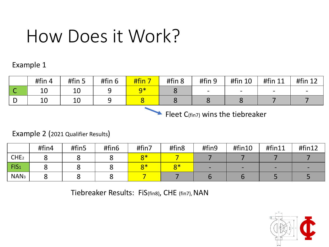### How Does it Work?

#### Example 1

|   | #fin $4$ | #fin 5 | #fin 6 | #fin 7 | #fin 8 | #fin 9                   | #fin 10 | #fin 11                  | #fin 12 |
|---|----------|--------|--------|--------|--------|--------------------------|---------|--------------------------|---------|
| ∼ | 10       | ᅩ◡     |        |        |        | $\overline{\phantom{0}}$ | $\sim$  | $\overline{\phantom{0}}$ |         |
|   | ᅶ        | ᅩ◡     |        |        |        |                          |         |                          |         |

Fleet  $C_{(fin7)}$  wins the tiebreaker

#### Example 2 (2021 Qualifier Results)

|                  | #fin4 | #fin5 | #fin6 | #fin7 | #fin8               | #fin9 | #fin10 | #fin11 | #fin12 |
|------------------|-------|-------|-------|-------|---------------------|-------|--------|--------|--------|
| CHE <sub>2</sub> |       |       |       | $8*$  |                     |       |        |        |        |
| FIS <sub>1</sub> |       |       |       | $R*$  | $\mathsf{Q}$ $\ast$ |       |        |        |        |
| NAN <sub>3</sub> |       |       |       |       |                     |       |        |        |        |

Tiebreaker Results: FiS(fin8), CHE (fin7), NAN

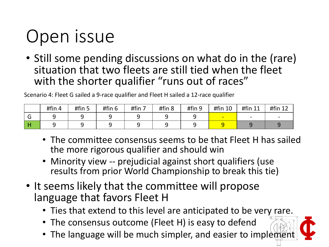# Open issue

• Still some pending discussions on what do in the (rare) situation that two fleets are still tied when the fleet with the shorter qualifier "runs out of races"

Scenario 4: Fleet G sailed a 9-race qualifier and Fleet H sailed a 12-race qualifier

|   | #fin 4 | #fin 5 | #fin 6 | #fin 7 | #fin 8 | #fin 9 | #fin 10 | #fin 11 | #fin 12 |
|---|--------|--------|--------|--------|--------|--------|---------|---------|---------|
| v |        |        |        |        |        |        |         |         |         |
|   |        |        |        |        |        |        |         |         |         |

- The committee consensus seems to be that Fleet H has sailed the more rigorous qualifier and should win
- Minority view -- prejudicial against short qualifiers (use results from prior World Championship to break this tie)
- It seems likely that the committee will propose language that favors Fleet H
	- Ties that extend to this level are anticipated to be very rare.
	- The consensus outcome (Fleet H) is easy to defend
	- The language will be much simpler, and easier to implement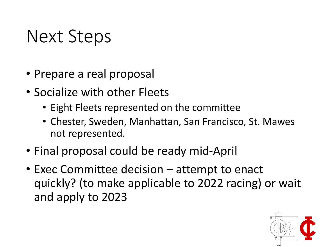### Next Steps

- Prepare a real proposal
- Socialize with other Fleets
	- Eight Fleets represented on the committee
	- Chester, Sweden, Manhattan, San Francisco, St. Mawes not represented.
- Final proposal could be ready mid-April
- Exec Committee decision attempt to enact quickly? (to make applicable to 2022 racing) or wait and apply to 2023